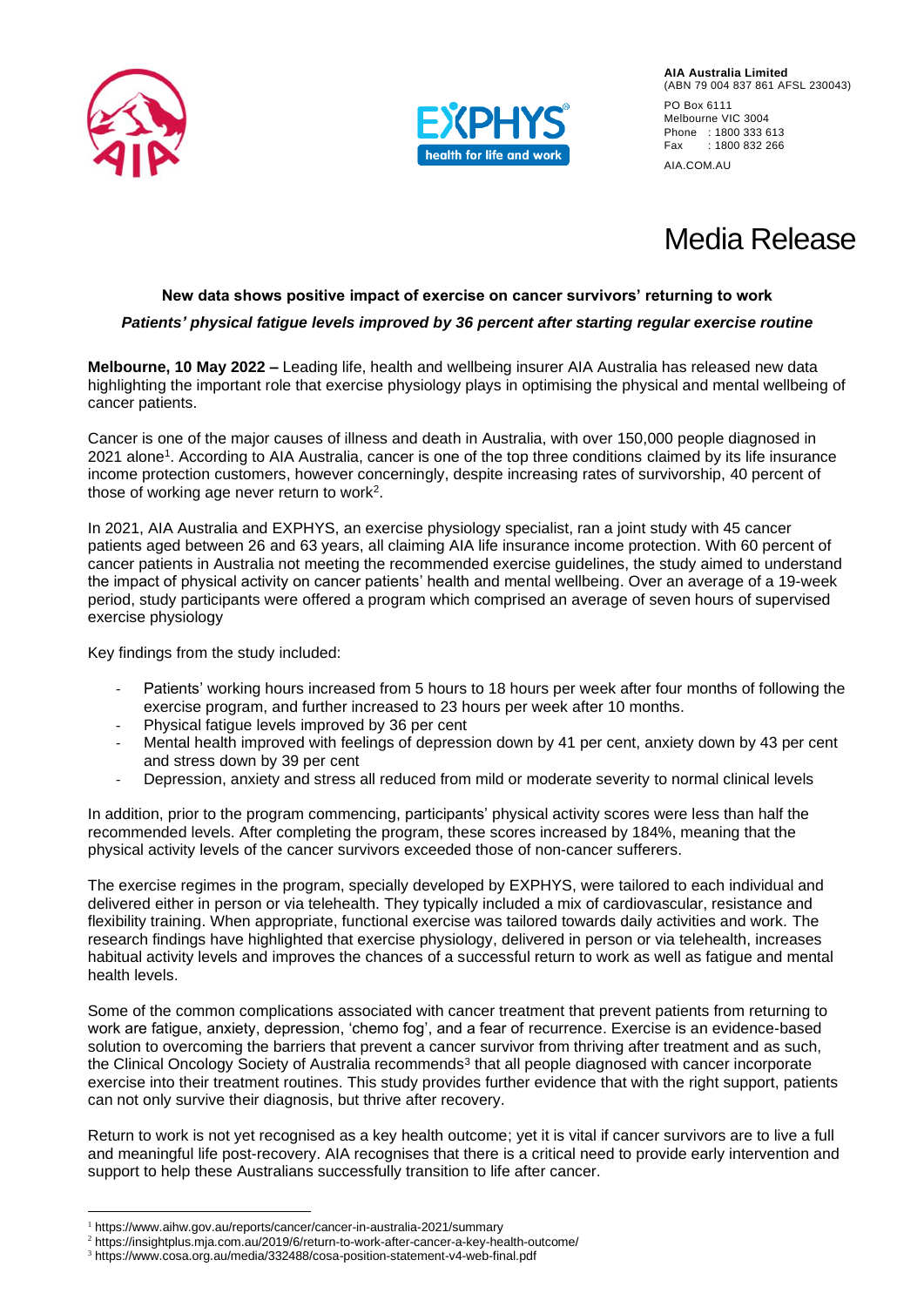



# Media Release

### **New data shows positive impact of exercise on cancer survivors' returning to work**

### *Patients' physical fatigue levels improved by 36 percent after starting regular exercise routine*

**Melbourne, 10 May 2022 –** Leading life, health and wellbeing insurer AIA Australia has released new data highlighting the important role that exercise physiology plays in optimising the physical and mental wellbeing of cancer patients.

Cancer is one of the major causes of illness and death in Australia, with over 150,000 people diagnosed in 2021 alone<sup>1</sup> . According to AIA Australia, cancer is one of the top three conditions claimed by its life insurance income protection customers, however concerningly, despite increasing rates of survivorship, 40 percent of those of working age never return to work<sup>2</sup> .

In 2021, AIA Australia and EXPHYS, an exercise physiology specialist, ran a joint study with 45 cancer patients aged between 26 and 63 years, all claiming AIA life insurance income protection. With 60 percent of cancer patients in Australia not meeting the recommended exercise guidelines, the study aimed to understand the impact of physical activity on cancer patients' health and mental wellbeing. Over an average of a 19-week period, study participants were offered a program which comprised an average of seven hours of supervised exercise physiology

Key findings from the study included:

- Patients' working hours increased from 5 hours to 18 hours per week after four months of following the exercise program, and further increased to 23 hours per week after 10 months.
- Physical fatigue levels improved by 36 per cent
- Mental health improved with feelings of depression down by 41 per cent, anxiety down by 43 per cent and stress down by 39 per cent
- Depression, anxiety and stress all reduced from mild or moderate severity to normal clinical levels

In addition, prior to the program commencing, participants' physical activity scores were less than half the recommended levels. After completing the program, these scores increased by 184%, meaning that the physical activity levels of the cancer survivors exceeded those of non-cancer sufferers.

The exercise regimes in the program, specially developed by EXPHYS, were tailored to each individual and delivered either in person or via telehealth. They typically included a mix of cardiovascular, resistance and flexibility training. When appropriate, functional exercise was tailored towards daily activities and work. The research findings have highlighted that exercise physiology, delivered in person or via telehealth, increases habitual activity levels and improves the chances of a successful return to work as well as fatigue and mental health levels.

Some of the common complications associated with cancer treatment that prevent patients from returning to work are fatigue, anxiety, depression, 'chemo fog', and a fear of recurrence. Exercise is an evidence-based solution to overcoming the barriers that prevent a cancer survivor from thriving after treatment and as such, the Clinical Oncology Society of Australia recommends<sup>3</sup> that all people diagnosed with cancer incorporate exercise into their treatment routines. This study provides further evidence that with the right support, patients can not only survive their diagnosis, but thrive after recovery.

Return to work is not yet recognised as a key health outcome; yet it is vital if cancer survivors are to live a full and meaningful life post-recovery. AIA recognises that there is a critical need to provide early intervention and support to help these Australians successfully transition to life after cancer.

<sup>1</sup> https://www.aihw.gov.au/reports/cancer/cancer-in-australia-2021/summary

<sup>2</sup> https://insightplus.mja.com.au/2019/6/return-to-work-after-cancer-a-key-health-outcome/

<sup>3</sup> https://www.cosa.org.au/media/332488/cosa-position-statement-v4-web-final.pdf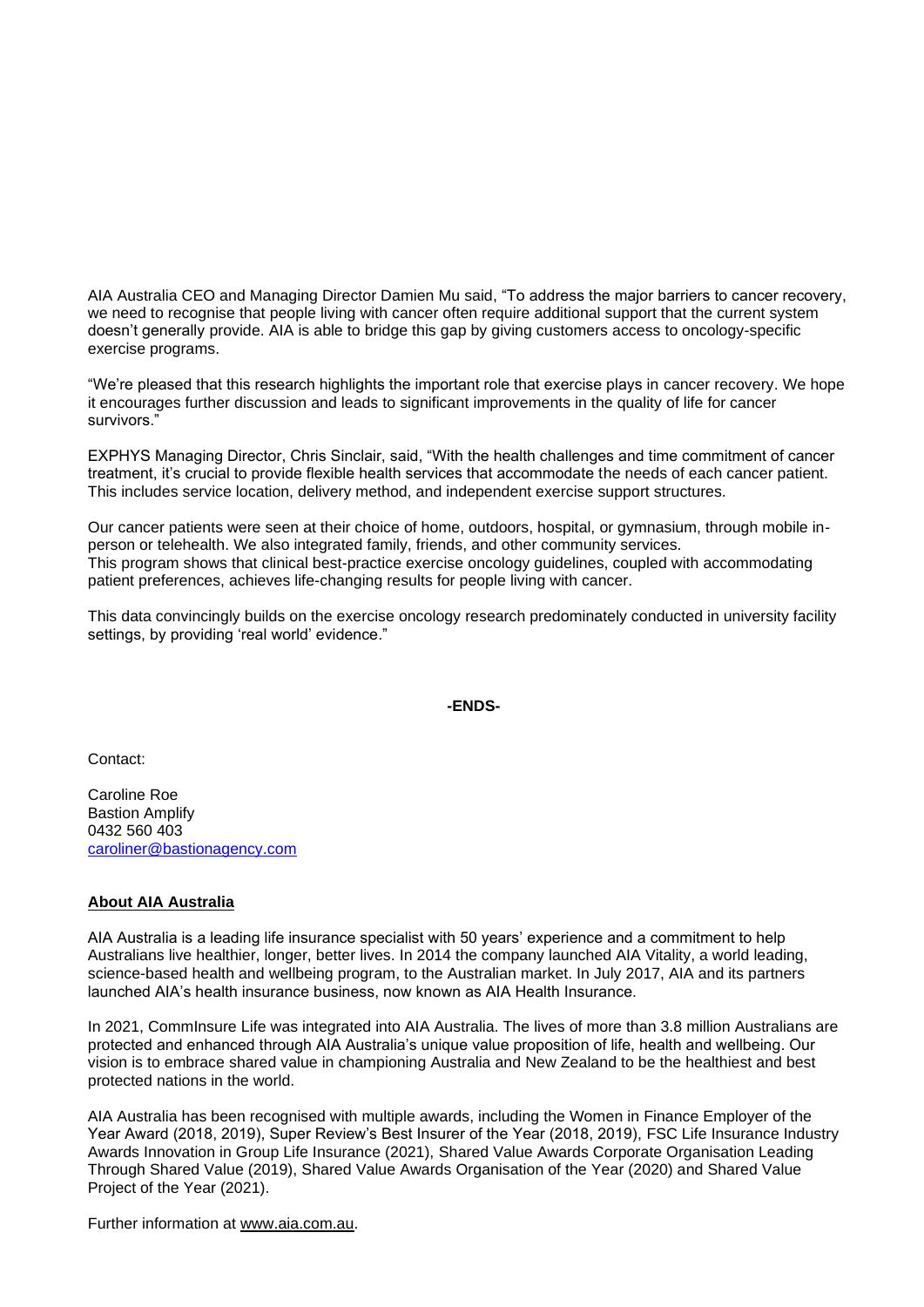AIA Australia CEO and Managing Director Damien Mu said, "To address the major barriers to cancer recovery, we need to recognise that people living with cancer often require additional support that the current system doesn't generally provide. AIA is able to bridge this gap by giving customers access to oncology-specific exercise programs.

"We're pleased that this research highlights the important role that exercise plays in cancer recovery. We hope it encourages further discussion and leads to significant improvements in the quality of life for cancer survivors."

EXPHYS Managing Director, Chris Sinclair, said, "With the health challenges and time commitment of cancer treatment, it's crucial to provide flexible health services that accommodate the needs of each cancer patient. This includes service location, delivery method, and independent exercise support structures.

Our cancer patients were seen at their choice of home, outdoors, hospital, or gymnasium, through mobile inperson or telehealth. We also integrated family, friends, and other community services. This program shows that clinical best-practice exercise oncology guidelines, coupled with accommodating patient preferences, achieves life-changing results for people living with cancer.

This data convincingly builds on the exercise oncology research predominately conducted in university facility settings, by providing 'real world' evidence."

 **-ENDS-**

Contact:

Caroline Roe Bastion Amplify 0432 560 403 [caroliner@bastionagency.com](mailto:caroliner@bastionagency.com)

## **About AIA Australia**

AIA Australia is a leading life insurance specialist with 50 years' experience and a commitment to help Australians live healthier, longer, better lives. In 2014 the company launched AIA Vitality, a world leading, science-based health and wellbeing program, to the Australian market. In July 2017, AIA and its partners launched AIA's health insurance business, now known as AIA Health Insurance.

In 2021, CommInsure Life was integrated into AIA Australia. The lives of more than 3.8 million Australians are protected and enhanced through AIA Australia's unique value proposition of life, health and wellbeing. Our vision is to embrace shared value in championing Australia and New Zealand to be the healthiest and best protected nations in the world.

AIA Australia has been recognised with multiple awards, including the Women in Finance Employer of the Year Award (2018, 2019), Super Review's Best Insurer of the Year (2018, 2019), FSC Life Insurance Industry Awards Innovation in Group Life Insurance (2021), Shared Value Awards Corporate Organisation Leading Through Shared Value (2019), Shared Value Awards Organisation of the Year (2020) and Shared Value Project of the Year (2021).

Further information at [www.aia.com.au.](http://www.aia.com.au/)